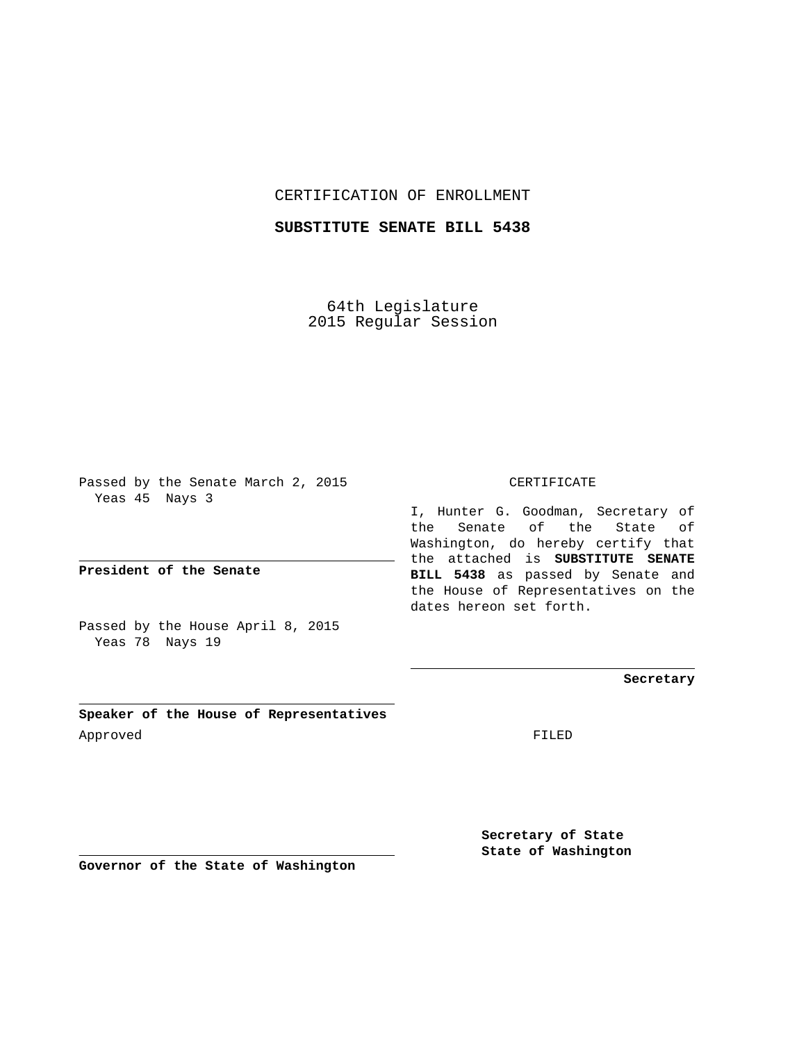CERTIFICATION OF ENROLLMENT

**SUBSTITUTE SENATE BILL 5438**

64th Legislature 2015 Regular Session

Passed by the Senate March 2, 2015 Yeas 45 Nays 3

**President of the Senate**

Passed by the House April 8, 2015 Yeas 78 Nays 19

**Speaker of the House of Representatives** Approved FILED

CERTIFICATE

I, Hunter G. Goodman, Secretary of the Senate of the State of Washington, do hereby certify that the attached is **SUBSTITUTE SENATE BILL 5438** as passed by Senate and the House of Representatives on the dates hereon set forth.

**Secretary**

**Secretary of State State of Washington**

**Governor of the State of Washington**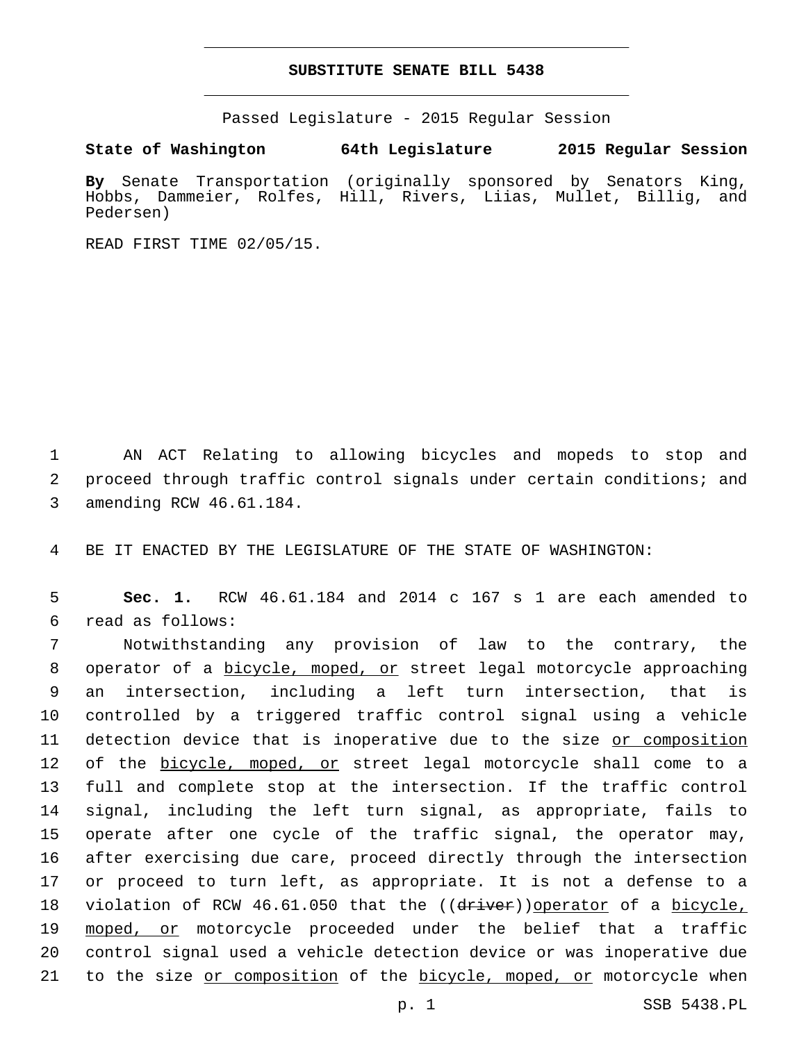## **SUBSTITUTE SENATE BILL 5438**

Passed Legislature - 2015 Regular Session

**State of Washington 64th Legislature 2015 Regular Session**

**By** Senate Transportation (originally sponsored by Senators King, Hobbs, Dammeier, Rolfes, Hill, Rivers, Liias, Mullet, Billig, and Pedersen)

READ FIRST TIME 02/05/15.

1 AN ACT Relating to allowing bicycles and mopeds to stop and 2 proceed through traffic control signals under certain conditions; and 3 amending RCW 46.61.184.

4 BE IT ENACTED BY THE LEGISLATURE OF THE STATE OF WASHINGTON:

5 **Sec. 1.** RCW 46.61.184 and 2014 c 167 s 1 are each amended to read as follows:6

 Notwithstanding any provision of law to the contrary, the operator of a bicycle, moped, or street legal motorcycle approaching an intersection, including a left turn intersection, that is controlled by a triggered traffic control signal using a vehicle detection device that is inoperative due to the size or composition 12 of the bicycle, moped, or street legal motorcycle shall come to a full and complete stop at the intersection. If the traffic control signal, including the left turn signal, as appropriate, fails to operate after one cycle of the traffic signal, the operator may, after exercising due care, proceed directly through the intersection or proceed to turn left, as appropriate. It is not a defense to a 18 violation of RCW 46.61.050 that the ((driver))operator of a bicycle, moped, or motorcycle proceeded under the belief that a traffic control signal used a vehicle detection device or was inoperative due 21 to the size or composition of the bicycle, moped, or motorcycle when